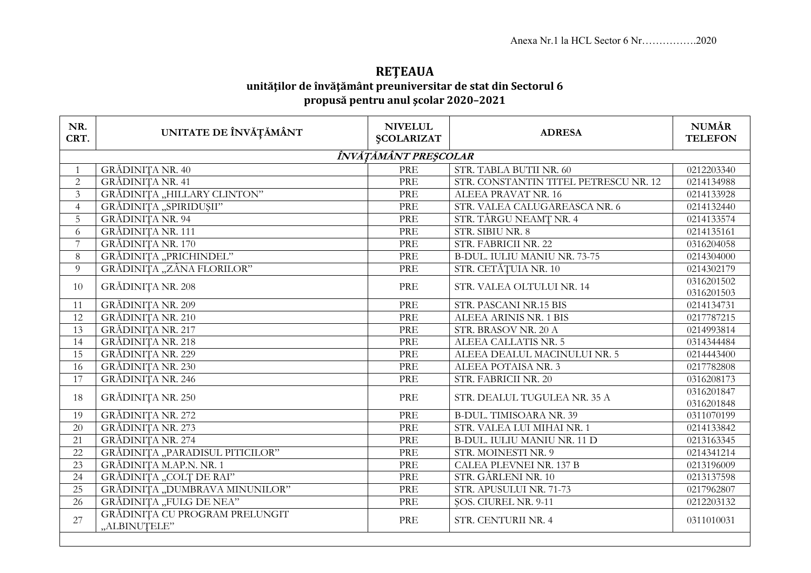## **REŢEAUA unităţilor de învăţământ preuniversitar de stat din Sectorul 6 propusă pentru anul şcolar 2020–2021**

| NR.<br>CRT.          | UNITATE DE ÎNVĂȚĂMÂNT                          | <b>NIVELUL</b><br><b>ŞCOLARIZAT</b> | <b>ADRESA</b>                         | <b>NUMĂR</b><br><b>TELEFON</b> |  |  |  |  |
|----------------------|------------------------------------------------|-------------------------------------|---------------------------------------|--------------------------------|--|--|--|--|
| ÎNVĂȚĂMÂNT PREȘCOLAR |                                                |                                     |                                       |                                |  |  |  |  |
| $\mathbf{1}$         | <b>GRĂDINIȚA NR. 40</b>                        | PRE                                 | STR. TABLA BUTII NR. 60               | 0212203340                     |  |  |  |  |
| $\overline{2}$       | <b>GRĂDINIȚA NR. 41</b>                        | PRE                                 | STR. CONSTANTIN TITEL PETRESCU NR. 12 | 0214134988                     |  |  |  |  |
| $\overline{3}$       | GRĂDINIȚA "HILLARY CLINTON"                    | PRE                                 | ALEEA PRAVAT NR. 16                   | 0214133928                     |  |  |  |  |
| $\overline{4}$       | GRĂDINIȚA "SPIRIDUȘII"                         | PRE                                 | STR. VALEA CALUGAREASCA NR. 6         | 0214132440                     |  |  |  |  |
| 5                    | <b>GRĂDINIȚA NR. 94</b>                        | PRE                                 | STR. TÂRGU NEAMȚ NR. 4                | 0214133574                     |  |  |  |  |
| 6                    | GRĂDINIȚA NR. 111                              | PRE                                 | STR. SIBIU NR. 8                      | 0214135161                     |  |  |  |  |
| $7\overline{ }$      | <b>GRĂDINITA NR. 170</b>                       | PRE                                 | STR. FABRICII NR. 22                  | 0316204058                     |  |  |  |  |
| 8                    | GRĂDINIȚA "PRICHINDEL"                         | PRE                                 | <b>B-DUL. IULIU MANIU NR. 73-75</b>   | 0214304000                     |  |  |  |  |
| 9                    | GRĂDINIȚA "ZÂNA FLORILOR"                      | PRE                                 | STR. CETĂȚUIA NR. 10                  | 0214302179                     |  |  |  |  |
| 10                   | GRĂDINIȚA NR. 208                              | PRE                                 | STR. VALEA OLTULUI NR. 14             | 0316201502                     |  |  |  |  |
|                      |                                                |                                     |                                       | 0316201503                     |  |  |  |  |
| 11                   | GRĂDINIȚA NR. 209                              | PRE                                 | STR. PASCANI NR.15 BIS                | 0214134731                     |  |  |  |  |
| 12                   | <b>GRĂDINIȚA NR. 210</b>                       | PRE                                 | ALEEA ARINIS NR. 1 BIS                | 0217787215                     |  |  |  |  |
| 13                   | <b>GRĂDINIȚA NR. 217</b>                       | PRE                                 | STR. BRASOV NR. 20 A                  | 0214993814                     |  |  |  |  |
| 14                   | <b>GRĂDINIȚA NR. 218</b>                       | PRE                                 | ALEEA CALLATIS NR. 5                  | 0314344484                     |  |  |  |  |
| 15                   | GRĂDINIȚA NR. 229                              | PRE                                 | ALEEA DEALUL MACINULUI NR. 5          | 0214443400                     |  |  |  |  |
| 16                   | GRĂDINIȚA NR. 230                              | PRE                                 | ALEEA POTAISA NR. 3                   | 0217782808                     |  |  |  |  |
| 17                   | GRĂDINIȚA NR. 246                              | PRE                                 | STR. FABRICII NR. 20                  | 0316208173                     |  |  |  |  |
| 18                   | GRĂDINIȚA NR. 250                              | PRE                                 | STR. DEALUL TUGULEA NR. 35 A          | 0316201847<br>0316201848       |  |  |  |  |
| 19                   | GRĂDINIȚA NR. 272                              | PRE                                 | <b>B-DUL. TIMISOARA NR. 39</b>        | 0311070199                     |  |  |  |  |
| 20                   | GRĂDINIȚA NR. 273                              | PRE                                 | STR. VALEA LUI MIHAI NR. 1            | 0214133842                     |  |  |  |  |
| 21                   | GRĂDINIȚA NR. 274                              | PRE                                 | <b>B-DUL. IULIU MANIU NR. 11 D</b>    | 0213163345                     |  |  |  |  |
| $\overline{22}$      | GRĂDINIȚA "PARADISUL PITICILOR"                | PRE                                 | STR. MOINESTI NR. 9                   | 0214341214                     |  |  |  |  |
| 23                   | GRĂDINIȚA M.AP.N. NR. 1                        | PRE                                 | CALEA PLEVNEI NR. 137 B               | 0213196009                     |  |  |  |  |
| 24                   | GRĂDINIȚA "COLȚ DE RAI"                        | PRE                                 | STR. GÂRLENI NR. 10                   | 0213137598                     |  |  |  |  |
| $\overline{25}$      | GRĂDINIȚA "DUMBRAVA MINUNILOR"                 | PRE                                 | STR. APUSULUI NR. 71-73               | 0217962807                     |  |  |  |  |
| 26                   | GRĂDINIȚA "FULG DE NEA"                        | PRE                                 | <b>ŞOS. CIUREL NR. 9-11</b>           | 0212203132                     |  |  |  |  |
| 27                   | GRĂDINIȚA CU PROGRAM PRELUNGIT<br>"ALBINUTELE" | PRE                                 | STR. CENTURII NR. 4                   | 0311010031                     |  |  |  |  |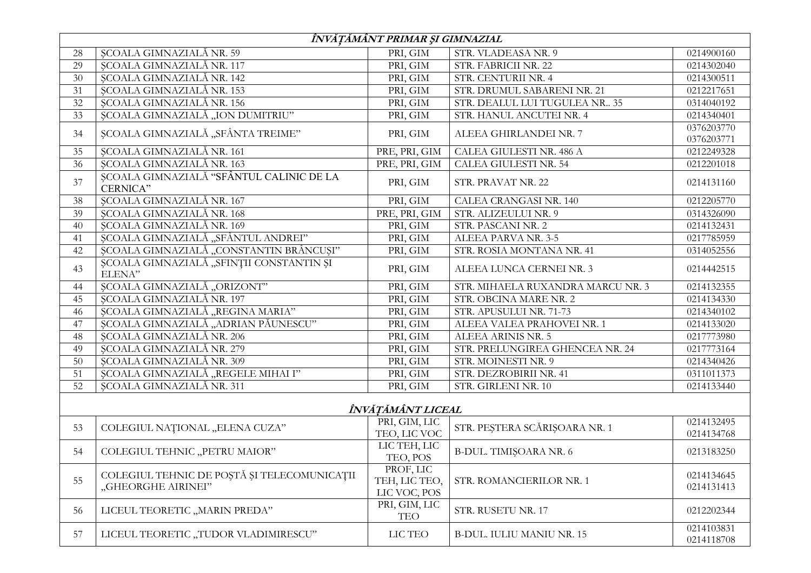| ÎNVĂȚĂMÂNT PRIMAR ȘI GIMNAZIAL |                                                                   |                                            |                                   |                          |  |  |  |
|--------------------------------|-------------------------------------------------------------------|--------------------------------------------|-----------------------------------|--------------------------|--|--|--|
| 28                             | <b>ȘCOALA GIMNAZIALĂ NR. 59</b>                                   | PRI, GIM                                   | STR. VLADEASA NR. 9               | 0214900160               |  |  |  |
| 29                             | SCOALA GIMNAZIALĂ NR. 117                                         | PRI, GIM                                   | STR. FABRICII NR. 22              | 0214302040               |  |  |  |
| 30                             | ȘCOALA GIMNAZIALĂ NR. 142                                         | PRI, GIM                                   | STR. CENTURII NR. 4               | 0214300511               |  |  |  |
| 31                             | ȘCOALA GIMNAZIALĂ NR. 153                                         | PRI, GIM                                   | STR. DRUMUL SABARENI NR. 21       | 0212217651               |  |  |  |
| 32                             | ȘCOALA GIMNAZIALĂ NR. 156                                         | PRI, GIM                                   | STR. DEALUL LUI TUGULEA NR 35     | 0314040192               |  |  |  |
| 33                             | ȘCOALA GIMNAZIALĂ "ION DUMITRIU"                                  | PRI, GIM                                   | STR. HANUL ANCUTEI NR. 4          | 0214340401               |  |  |  |
|                                | ȘCOALA GIMNAZIALĂ "SFÂNTA TREIME"                                 | PRI, GIM                                   | ALEEA GHIRLANDEI NR. 7            | 0376203770               |  |  |  |
| 34                             |                                                                   |                                            |                                   | 0376203771               |  |  |  |
| 35                             | <b>ȘCOALA GIMNAZIALĂ NR. 161</b>                                  | PRE, PRI, GIM                              | CALEA GIULESTI NR. 486 A          | 0212249328               |  |  |  |
| 36                             | ȘCOALA GIMNAZIALĂ NR. 163                                         | PRE, PRI, GIM                              | CALEA GIULESTI NR. 54             | 0212201018               |  |  |  |
| 37                             | ȘCOALA GIMNAZIALĂ "SFÂNTUL CALINIC DE LA<br>CERNICA"              | PRI, GIM                                   | STR. PRAVAT NR. 22                | 0214131160               |  |  |  |
| 38                             | SCOALA GIMNAZIALĂ NR. 167                                         | PRI, GIM                                   | <b>CALEA CRANGASI NR. 140</b>     | 0212205770               |  |  |  |
| 39                             | ȘCOALA GIMNAZIALĂ NR. 168                                         | PRE, PRI, GIM                              | STR. ALIZEULUI NR. 9              | 0314326090               |  |  |  |
| 40                             | ȘCOALA GIMNAZIALĂ NR. 169                                         | PRI, GIM                                   | STR. PASCANI NR. 2                | 0214132431               |  |  |  |
| 41                             | ȘCOALA GIMNAZIALĂ "SFÂNTUL ANDREI"                                | PRI, GIM                                   | ALEEA PARVA NR. 3-5               | 0217785959               |  |  |  |
| 42                             | ȘCOALA GIMNAZIALĂ "CONSTANTIN BRÂNCUȘI"                           | PRI, GIM                                   | STR. ROSIA MONTANA NR. 41         | 0314052556               |  |  |  |
| 43                             | ȘCOALA GIMNAZIALĂ "SFINȚII CONSTANTIN ȘI<br>ELENA"                | PRI, GIM                                   | ALEEA LUNCA CERNEI NR. 3          | 0214442515               |  |  |  |
| 44                             | ȘCOALA GIMNAZIALĂ "ORIZONT"                                       | PRI, GIM                                   | STR. MIHAELA RUXANDRA MARCU NR. 3 | 0214132355               |  |  |  |
| 45                             | <b>ȘCOALA GIMNAZIALĂ NR. 197</b>                                  | PRI, GIM                                   | STR. OBCINA MARE NR. 2            | 0214134330               |  |  |  |
| 46                             | ȘCOALA GIMNAZIALĂ "REGINA MARIA"                                  | PRI, GIM                                   | STR. APUSULUI NR. 71-73           | 0214340102               |  |  |  |
| 47                             | ȘCOALA GIMNAZIALĂ "ADRIAN PĂUNESCU"                               | PRI, GIM                                   | ALEEA VALEA PRAHOVEI NR. 1        | 0214133020               |  |  |  |
| 48                             | ȘCOALA GIMNAZIALĂ NR. 206                                         | PRI, GIM                                   | ALEEA ARINIS NR. 5                | 0217773980               |  |  |  |
| 49                             | ȘCOALA GIMNAZIALĂ NR. 279                                         | PRI, GIM                                   | STR. PRELUNGIREA GHENCEA NR. 24   | 0217773164               |  |  |  |
| 50                             | <b>ȘCOALA GIMNAZIALĂ NR. 309</b>                                  | PRI, GIM                                   | STR. MOINESTI NR. 9               | 0214340426               |  |  |  |
| 51                             | ȘCOALA GIMNAZIALĂ "REGELE MIHAI I"                                | PRI, GIM                                   | STR. DEZROBIRII NR. 41            | 0311011373               |  |  |  |
| 52                             | ȘCOALA GIMNAZIALĂ NR. 311                                         | PRI, GIM                                   | STR. GIRLENI NR. 10               | 0214133440               |  |  |  |
|                                |                                                                   |                                            |                                   |                          |  |  |  |
|                                |                                                                   | ÎNVĂȚĂMÂNT LICEAL                          |                                   |                          |  |  |  |
| 53                             | COLEGIUL NAȚIONAL "ELENA CUZA"                                    | PRI, GIM, LIC<br>TEO, LIC VOC              | STR. PEȘTERA SCĂRIȘOARA NR. 1     | 0214132495<br>0214134768 |  |  |  |
| 54                             | COLEGIUL TEHNIC "PETRU MAIOR"                                     | LIC TEH, LIC<br>TEO, POS                   | <b>B-DUL. TIMIȘOARA NR. 6</b>     | 0213183250               |  |  |  |
| 55                             | COLEGIUL TEHNIC DE POȘTĂ ȘI TELECOMUNICAȚII<br>"GHEORGHE AIRINEI" | PROF, LIC<br>TEH, LIC TEO,<br>LIC VOC, POS | STR. ROMANCIERILOR NR. 1          | 0214134645<br>0214131413 |  |  |  |
| 56                             | LICEUL TEORETIC "MARIN PREDA"                                     | PRI, GIM, LIC<br><b>TEO</b>                | STR. RUSETU NR. 17                | 0212202344               |  |  |  |
| 57                             | LICEUL TEORETIC "TUDOR VLADIMIRESCU"                              | LIC TEO                                    | <b>B-DUL. IULIU MANIU NR. 15</b>  | 0214103831<br>0214118708 |  |  |  |